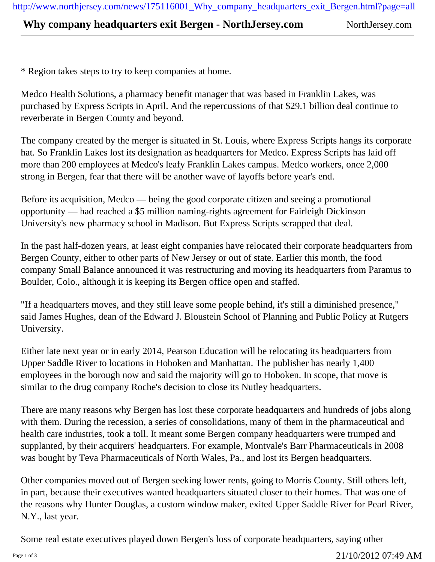[http://www.northjersey.com/news/175116001\\_Why\\_company\\_headquarters\\_exit\\_Bergen.html?page=all](http://www.northjersey.com/news/175116001_Why_company_headquarters_exit_Bergen.html?page=all)

\* Region takes steps to try to keep companies at home.

Medco Health Solutions, a pharmacy benefit manager that was based in Franklin Lakes, was purchased by Express Scripts in April. And the repercussions of that \$29.1 billion deal continue to reverberate in Bergen County and beyond.

The company created by the merger is situated in St. Louis, where Express Scripts hangs its corporate hat. So Franklin Lakes lost its designation as headquarters for Medco. Express Scripts has laid off more than 200 employees at Medco's leafy Franklin Lakes campus. Medco workers, once 2,000 strong in Bergen, fear that there will be another wave of layoffs before year's end.

Before its acquisition, Medco — being the good corporate citizen and seeing a promotional opportunity — had reached a \$5 million naming-rights agreement for Fairleigh Dickinson University's new pharmacy school in Madison. But Express Scripts scrapped that deal.

In the past half-dozen years, at least eight companies have relocated their corporate headquarters from Bergen County, either to other parts of New Jersey or out of state. Earlier this month, the food company Small Balance announced it was restructuring and moving its headquarters from Paramus to Boulder, Colo., although it is keeping its Bergen office open and staffed.

"If a headquarters moves, and they still leave some people behind, it's still a diminished presence," said James Hughes, dean of the Edward J. Bloustein School of Planning and Public Policy at Rutgers University.

Either late next year or in early 2014, Pearson Education will be relocating its headquarters from Upper Saddle River to locations in Hoboken and Manhattan. The publisher has nearly 1,400 employees in the borough now and said the majority will go to Hoboken. In scope, that move is similar to the drug company Roche's decision to close its Nutley headquarters.

There are many reasons why Bergen has lost these corporate headquarters and hundreds of jobs along with them. During the recession, a series of consolidations, many of them in the pharmaceutical and health care industries, took a toll. It meant some Bergen company headquarters were trumped and supplanted, by their acquirers' headquarters. For example, Montvale's Barr Pharmaceuticals in 2008 was bought by Teva Pharmaceuticals of North Wales, Pa., and lost its Bergen headquarters.

Other companies moved out of Bergen seeking lower rents, going to Morris County. Still others left, in part, because their executives wanted headquarters situated closer to their homes. That was one of the reasons why Hunter Douglas, a custom window maker, exited Upper Saddle River for Pearl River, N.Y., last year.

Some real estate executives played down Bergen's loss of corporate headquarters, saying other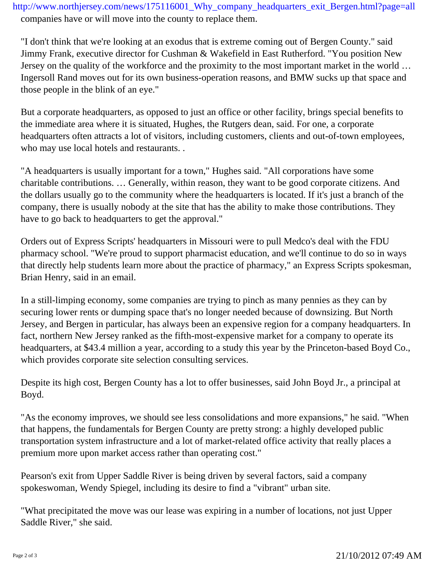[http://www.northjersey.com/news/175116001\\_Why\\_company\\_headquarters\\_exit\\_Bergen.html?page=all](http://www.northjersey.com/news/175116001_Why_company_headquarters_exit_Bergen.html?page=all) companies have or will move into the county to replace them.

"I don't think that we're looking at an exodus that is extreme coming out of Bergen County." said Jimmy Frank, executive director for Cushman & Wakefield in East Rutherford. "You position New Jersey on the quality of the workforce and the proximity to the most important market in the world … Ingersoll Rand moves out for its own business-operation reasons, and BMW sucks up that space and those people in the blink of an eye."

But a corporate headquarters, as opposed to just an office or other facility, brings special benefits to the immediate area where it is situated, Hughes, the Rutgers dean, said. For one, a corporate headquarters often attracts a lot of visitors, including customers, clients and out-of-town employees, who may use local hotels and restaurants. .

"A headquarters is usually important for a town," Hughes said. "All corporations have some charitable contributions. … Generally, within reason, they want to be good corporate citizens. And the dollars usually go to the community where the headquarters is located. If it's just a branch of the company, there is usually nobody at the site that has the ability to make those contributions. They have to go back to headquarters to get the approval."

Orders out of Express Scripts' headquarters in Missouri were to pull Medco's deal with the FDU pharmacy school. "We're proud to support pharmacist education, and we'll continue to do so in ways that directly help students learn more about the practice of pharmacy," an Express Scripts spokesman, Brian Henry, said in an email.

In a still-limping economy, some companies are trying to pinch as many pennies as they can by securing lower rents or dumping space that's no longer needed because of downsizing. But North Jersey, and Bergen in particular, has always been an expensive region for a company headquarters. In fact, northern New Jersey ranked as the fifth-most-expensive market for a company to operate its headquarters, at \$43.4 million a year, according to a study this year by the Princeton-based Boyd Co., which provides corporate site selection consulting services.

Despite its high cost, Bergen County has a lot to offer businesses, said John Boyd Jr., a principal at Boyd.

"As the economy improves, we should see less consolidations and more expansions," he said. "When that happens, the fundamentals for Bergen County are pretty strong: a highly developed public transportation system infrastructure and a lot of market-related office activity that really places a premium more upon market access rather than operating cost."

Pearson's exit from Upper Saddle River is being driven by several factors, said a company spokeswoman, Wendy Spiegel, including its desire to find a "vibrant" urban site.

"What precipitated the move was our lease was expiring in a number of locations, not just Upper Saddle River," she said.